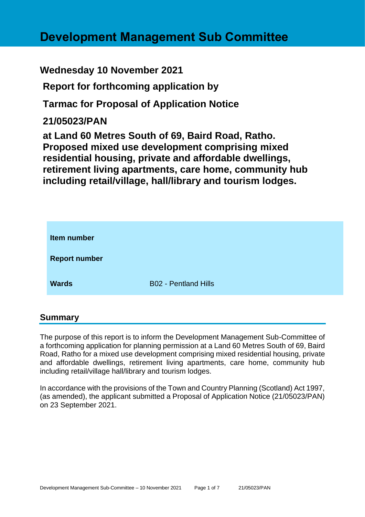# **Development Management Sub Committee**

# **Wednesday 10 November 2021**

**Report for forthcoming application by**

**Tarmac for Proposal of Application Notice** 

# **21/05023/PAN**

**at Land 60 Metres South of 69, Baird Road, Ratho. Proposed mixed use development comprising mixed residential housing, private and affordable dwellings, retirement living apartments, care home, community hub including retail/village, hall/library and tourism lodges.**

| Item number          |                             |
|----------------------|-----------------------------|
| <b>Report number</b> |                             |
| <b>Wards</b>         | <b>B02 - Pentland Hills</b> |

#### **Summary**

The purpose of this report is to inform the Development Management Sub-Committee of a forthcoming application for planning permission at a Land 60 Metres South of 69, Baird Road, Ratho for a mixed use development comprising mixed residential housing, private and affordable dwellings, retirement living apartments, care home, community hub including retail/village hall/library and tourism lodges.

In accordance with the provisions of the Town and Country Planning (Scotland) Act 1997, (as amended), the applicant submitted a Proposal of Application Notice (21/05023/PAN) on 23 September 2021.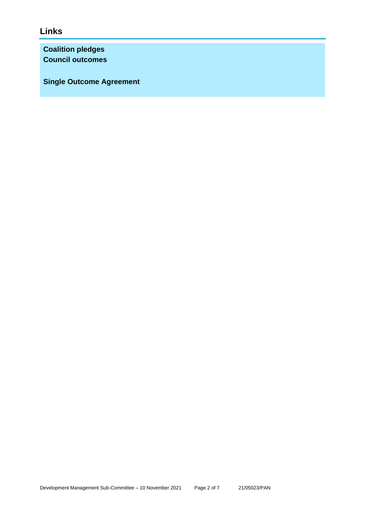# **Links**

**Coalition pledges Council outcomes**

**Single Outcome Agreement**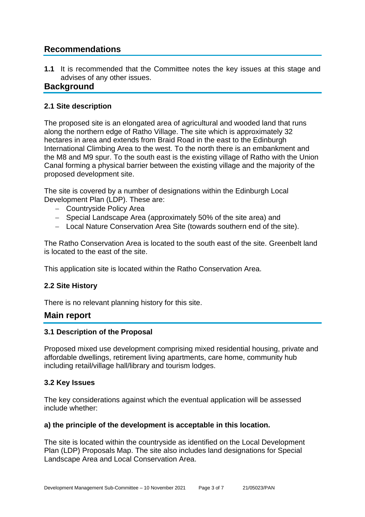# **Recommendations**

**1.1** It is recommended that the Committee notes the key issues at this stage and advises of any other issues.

### **Background**

#### **2.1 Site description**

The proposed site is an elongated area of agricultural and wooded land that runs along the northern edge of Ratho Village. The site which is approximately 32 hectares in area and extends from Braid Road in the east to the Edinburgh International Climbing Area to the west. To the north there is an embankment and the M8 and M9 spur. To the south east is the existing village of Ratho with the Union Canal forming a physical barrier between the existing village and the majority of the proposed development site.

The site is covered by a number of designations within the Edinburgh Local Development Plan (LDP). These are:

- − Countryside Policy Area
- − Special Landscape Area (approximately 50% of the site area) and
- − Local Nature Conservation Area Site (towards southern end of the site).

The Ratho Conservation Area is located to the south east of the site. Greenbelt land is located to the east of the site.

This application site is located within the Ratho Conservation Area.

#### **2.2 Site History**

There is no relevant planning history for this site.

#### **Main report**

#### **3.1 Description of the Proposal**

Proposed mixed use development comprising mixed residential housing, private and affordable dwellings, retirement living apartments, care home, community hub including retail/village hall/library and tourism lodges.

#### **3.2 Key Issues**

The key considerations against which the eventual application will be assessed include whether:

#### **a) the principle of the development is acceptable in this location.**

The site is located within the countryside as identified on the Local Development Plan (LDP) Proposals Map. The site also includes land designations for Special Landscape Area and Local Conservation Area.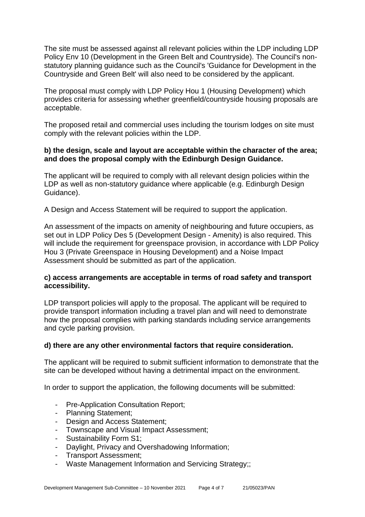The site must be assessed against all relevant policies within the LDP including LDP Policy Env 10 (Development in the Green Belt and Countryside). The Council's nonstatutory planning guidance such as the Council's 'Guidance for Development in the Countryside and Green Belt' will also need to be considered by the applicant.

The proposal must comply with LDP Policy Hou 1 (Housing Development) which provides criteria for assessing whether greenfield/countryside housing proposals are acceptable.

The proposed retail and commercial uses including the tourism lodges on site must comply with the relevant policies within the LDP.

#### **b) the design, scale and layout are acceptable within the character of the area; and does the proposal comply with the Edinburgh Design Guidance.**

The applicant will be required to comply with all relevant design policies within the LDP as well as non-statutory guidance where applicable (e.g. Edinburgh Design Guidance).

A Design and Access Statement will be required to support the application.

An assessment of the impacts on amenity of neighbouring and future occupiers, as set out in LDP Policy Des 5 (Development Design - Amenity) is also required. This will include the requirement for greenspace provision, in accordance with LDP Policy Hou 3 (Private Greenspace in Housing Development) and a Noise Impact Assessment should be submitted as part of the application.

#### **c) access arrangements are acceptable in terms of road safety and transport accessibility.**

LDP transport policies will apply to the proposal. The applicant will be required to provide transport information including a travel plan and will need to demonstrate how the proposal complies with parking standards including service arrangements and cycle parking provision.

#### **d) there are any other environmental factors that require consideration.**

The applicant will be required to submit sufficient information to demonstrate that the site can be developed without having a detrimental impact on the environment.

In order to support the application, the following documents will be submitted:

- Pre-Application Consultation Report;
- Planning Statement;
- Design and Access Statement;
- Townscape and Visual Impact Assessment;
- Sustainability Form S1;
- Daylight, Privacy and Overshadowing Information;
- Transport Assessment;
- Waste Management Information and Servicing Strategy;;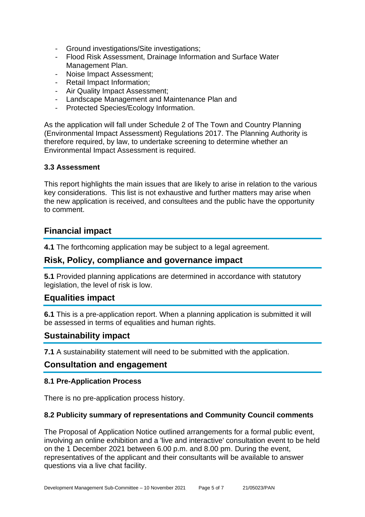- Ground investigations/Site investigations;
- Flood Risk Assessment, Drainage Information and Surface Water Management Plan.
- Noise Impact Assessment;
- Retail Impact Information;
- Air Quality Impact Assessment;
- Landscape Management and Maintenance Plan and
- Protected Species/Ecology Information.

As the application will fall under Schedule 2 of The Town and Country Planning (Environmental Impact Assessment) Regulations 2017. The Planning Authority is therefore required, by law, to undertake screening to determine whether an Environmental Impact Assessment is required.

#### **3.3 Assessment**

This report highlights the main issues that are likely to arise in relation to the various key considerations. This list is not exhaustive and further matters may arise when the new application is received, and consultees and the public have the opportunity to comment.

## **Financial impact**

**4.1** The forthcoming application may be subject to a legal agreement.

### **Risk, Policy, compliance and governance impact**

**5.1** Provided planning applications are determined in accordance with statutory legislation, the level of risk is low.

### **Equalities impact**

**6.1** This is a pre-application report. When a planning application is submitted it will be assessed in terms of equalities and human rights.

#### **Sustainability impact**

**7.1** A sustainability statement will need to be submitted with the application.

#### **Consultation and engagement**

#### **8.1 Pre-Application Process**

There is no pre-application process history.

#### **8.2 Publicity summary of representations and Community Council comments**

The Proposal of Application Notice outlined arrangements for a formal public event, involving an online exhibition and a 'live and interactive' consultation event to be held on the 1 December 2021 between 6.00 p.m. and 8.00 pm. During the event, representatives of the applicant and their consultants will be available to answer questions via a live chat facility.